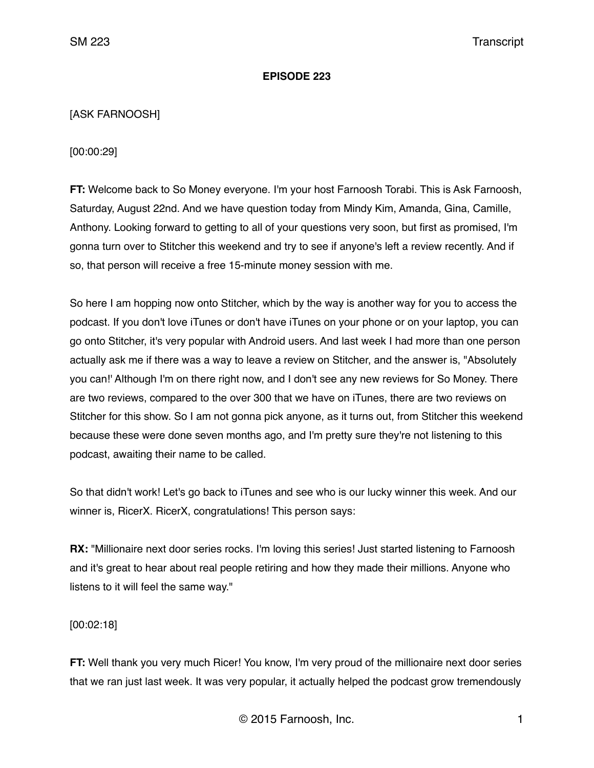#### **EPISODE 223**

# [ASK FARNOOSH]

[00:00:29]

**FT:** Welcome back to So Money everyone. I'm your host Farnoosh Torabi. This is Ask Farnoosh, Saturday, August 22nd. And we have question today from Mindy Kim, Amanda, Gina, Camille, Anthony. Looking forward to getting to all of your questions very soon, but first as promised, I'm gonna turn over to Stitcher this weekend and try to see if anyone's left a review recently. And if so, that person will receive a free 15-minute money session with me.

So here I am hopping now onto Stitcher, which by the way is another way for you to access the podcast. If you don't love iTunes or don't have iTunes on your phone or on your laptop, you can go onto Stitcher, it's very popular with Android users. And last week I had more than one person actually ask me if there was a way to leave a review on Stitcher, and the answer is, "Absolutely you can!' Although I'm on there right now, and I don't see any new reviews for So Money. There are two reviews, compared to the over 300 that we have on iTunes, there are two reviews on Stitcher for this show. So I am not gonna pick anyone, as it turns out, from Stitcher this weekend because these were done seven months ago, and I'm pretty sure they're not listening to this podcast, awaiting their name to be called.

So that didn't work! Let's go back to iTunes and see who is our lucky winner this week. And our winner is, RicerX. RicerX, congratulations! This person says:

**RX:** "Millionaire next door series rocks. I'm loving this series! Just started listening to Farnoosh and it's great to hear about real people retiring and how they made their millions. Anyone who listens to it will feel the same way."

[00:02:18]

**FT:** Well thank you very much Ricer! You know, I'm very proud of the millionaire next door series that we ran just last week. It was very popular, it actually helped the podcast grow tremendously

© 2015 Farnoosh, Inc. 1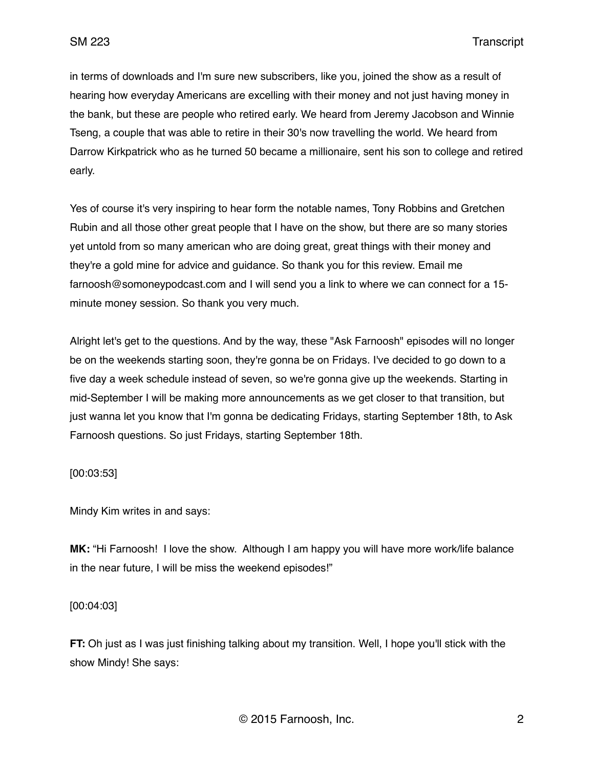in terms of downloads and I'm sure new subscribers, like you, joined the show as a result of hearing how everyday Americans are excelling with their money and not just having money in the bank, but these are people who retired early. We heard from Jeremy Jacobson and Winnie Tseng, a couple that was able to retire in their 30's now travelling the world. We heard from Darrow Kirkpatrick who as he turned 50 became a millionaire, sent his son to college and retired early.

Yes of course it's very inspiring to hear form the notable names, Tony Robbins and Gretchen Rubin and all those other great people that I have on the show, but there are so many stories yet untold from so many american who are doing great, great things with their money and they're a gold mine for advice and guidance. So thank you for this review. Email me farnoosh@somoneypodcast.com and I will send you a link to where we can connect for a 15 minute money session. So thank you very much.

Alright let's get to the questions. And by the way, these "Ask Farnoosh" episodes will no longer be on the weekends starting soon, they're gonna be on Fridays. I've decided to go down to a five day a week schedule instead of seven, so we're gonna give up the weekends. Starting in mid-September I will be making more announcements as we get closer to that transition, but just wanna let you know that I'm gonna be dedicating Fridays, starting September 18th, to Ask Farnoosh questions. So just Fridays, starting September 18th.

## [00:03:53]

Mindy Kim writes in and says:

**MK:** "Hi Farnoosh! I love the show. Although I am happy you will have more work/life balance in the near future, I will be miss the weekend episodes!"

## [00:04:03]

**FT:** Oh just as I was just finishing talking about my transition. Well, I hope you'll stick with the show Mindy! She says: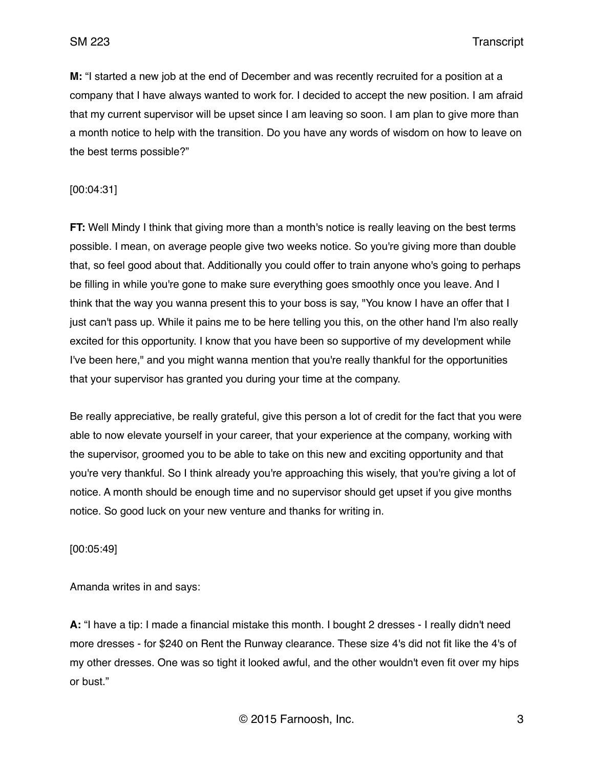**M:** "I started a new job at the end of December and was recently recruited for a position at a company that I have always wanted to work for. I decided to accept the new position. I am afraid that my current supervisor will be upset since I am leaving so soon. I am plan to give more than a month notice to help with the transition. Do you have any words of wisdom on how to leave on the best terms possible?"

#### [00:04:31]

**FT:** Well Mindy I think that giving more than a month's notice is really leaving on the best terms possible. I mean, on average people give two weeks notice. So you're giving more than double that, so feel good about that. Additionally you could offer to train anyone who's going to perhaps be filling in while you're gone to make sure everything goes smoothly once you leave. And I think that the way you wanna present this to your boss is say, "You know I have an offer that I just can't pass up. While it pains me to be here telling you this, on the other hand I'm also really excited for this opportunity. I know that you have been so supportive of my development while I've been here," and you might wanna mention that you're really thankful for the opportunities that your supervisor has granted you during your time at the company.

Be really appreciative, be really grateful, give this person a lot of credit for the fact that you were able to now elevate yourself in your career, that your experience at the company, working with the supervisor, groomed you to be able to take on this new and exciting opportunity and that you're very thankful. So I think already you're approaching this wisely, that you're giving a lot of notice. A month should be enough time and no supervisor should get upset if you give months notice. So good luck on your new venture and thanks for writing in.

[00:05:49]

Amanda writes in and says:

**A:** "I have a tip: I made a financial mistake this month. I bought 2 dresses - I really didn't need more dresses - for \$240 on Rent the Runway clearance. These size 4's did not fit like the 4's of my other dresses. One was so tight it looked awful, and the other wouldn't even fit over my hips or bust."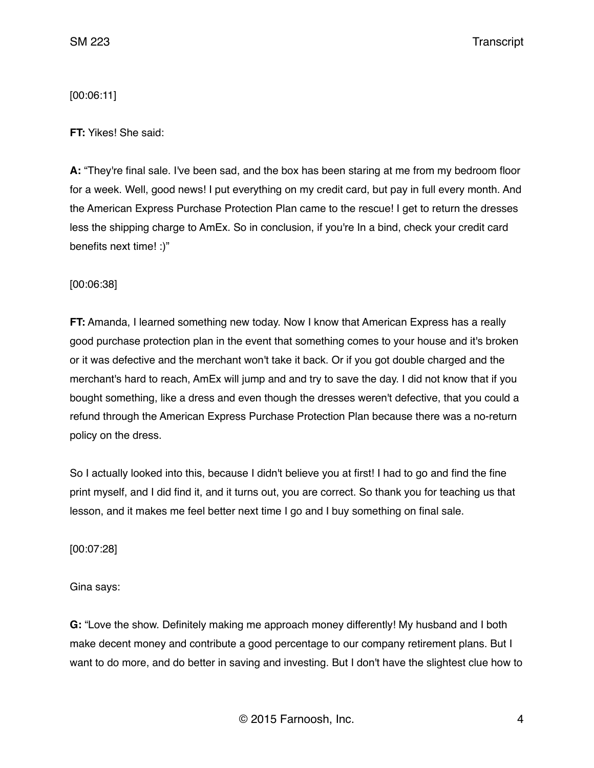[00:06:11]

**FT:** Yikes! She said:

**A:** "They're final sale. I've been sad, and the box has been staring at me from my bedroom floor for a week. Well, good news! I put everything on my credit card, but pay in full every month. And the American Express Purchase Protection Plan came to the rescue! I get to return the dresses less the shipping charge to AmEx. So in conclusion, if you're In a bind, check your credit card benefits next time! :)"

[00:06:38]

**FT:** Amanda, I learned something new today. Now I know that American Express has a really good purchase protection plan in the event that something comes to your house and it's broken or it was defective and the merchant won't take it back. Or if you got double charged and the merchant's hard to reach, AmEx will jump and and try to save the day. I did not know that if you bought something, like a dress and even though the dresses weren't defective, that you could a refund through the American Express Purchase Protection Plan because there was a no-return policy on the dress.

So I actually looked into this, because I didn't believe you at first! I had to go and find the fine print myself, and I did find it, and it turns out, you are correct. So thank you for teaching us that lesson, and it makes me feel better next time I go and I buy something on final sale.

[00:07:28]

Gina says:

**G:** "Love the show. Definitely making me approach money differently! My husband and I both make decent money and contribute a good percentage to our company retirement plans. But I want to do more, and do better in saving and investing. But I don't have the slightest clue how to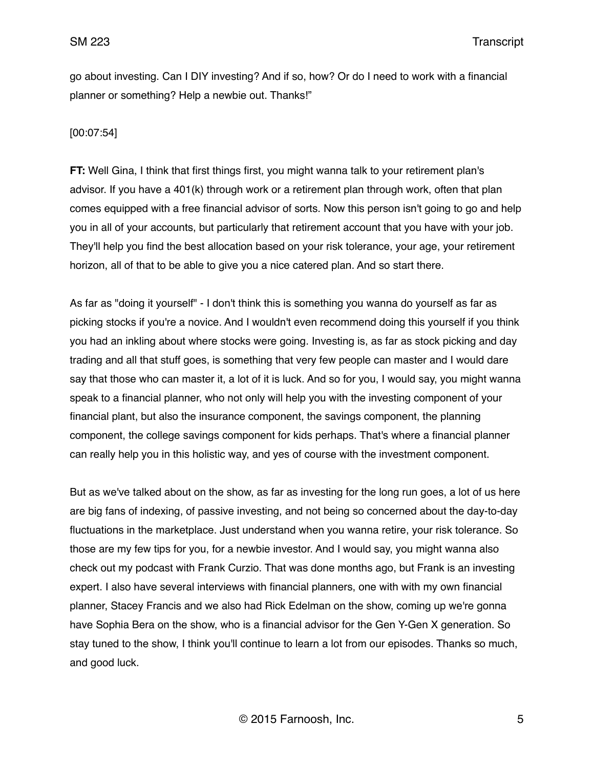SM 223 Transcript

go about investing. Can I DIY investing? And if so, how? Or do I need to work with a financial planner or something? Help a newbie out. Thanks!"

#### [00:07:54]

**FT:** Well Gina, I think that first things first, you might wanna talk to your retirement plan's advisor. If you have a 401(k) through work or a retirement plan through work, often that plan comes equipped with a free financial advisor of sorts. Now this person isn't going to go and help you in all of your accounts, but particularly that retirement account that you have with your job. They'll help you find the best allocation based on your risk tolerance, your age, your retirement horizon, all of that to be able to give you a nice catered plan. And so start there.

As far as "doing it yourself" - I don't think this is something you wanna do yourself as far as picking stocks if you're a novice. And I wouldn't even recommend doing this yourself if you think you had an inkling about where stocks were going. Investing is, as far as stock picking and day trading and all that stuff goes, is something that very few people can master and I would dare say that those who can master it, a lot of it is luck. And so for you, I would say, you might wanna speak to a financial planner, who not only will help you with the investing component of your financial plant, but also the insurance component, the savings component, the planning component, the college savings component for kids perhaps. That's where a financial planner can really help you in this holistic way, and yes of course with the investment component.

But as we've talked about on the show, as far as investing for the long run goes, a lot of us here are big fans of indexing, of passive investing, and not being so concerned about the day-to-day fluctuations in the marketplace. Just understand when you wanna retire, your risk tolerance. So those are my few tips for you, for a newbie investor. And I would say, you might wanna also check out my podcast with Frank Curzio. That was done months ago, but Frank is an investing expert. I also have several interviews with financial planners, one with with my own financial planner, Stacey Francis and we also had Rick Edelman on the show, coming up we're gonna have Sophia Bera on the show, who is a financial advisor for the Gen Y-Gen X generation. So stay tuned to the show, I think you'll continue to learn a lot from our episodes. Thanks so much, and good luck.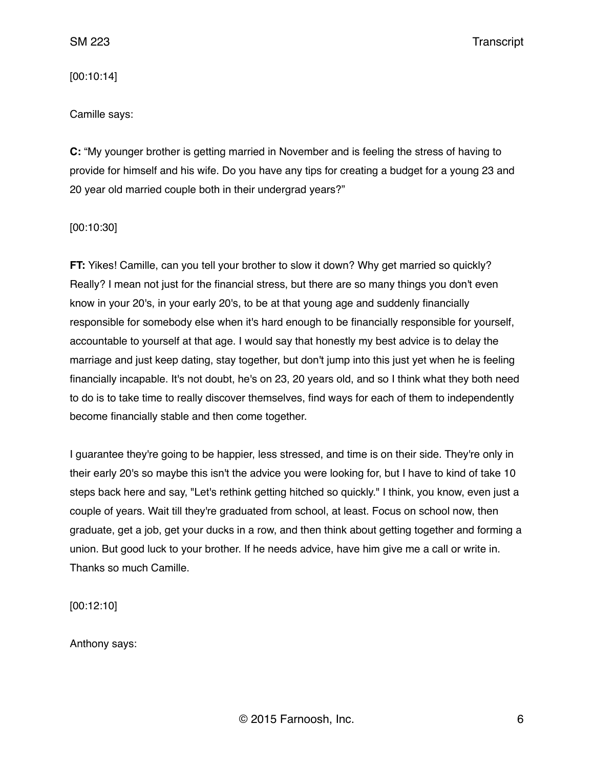[00:10:14]

Camille says:

**C:** "My younger brother is getting married in November and is feeling the stress of having to provide for himself and his wife. Do you have any tips for creating a budget for a young 23 and 20 year old married couple both in their undergrad years?"

[00:10:30]

**FT:** Yikes! Camille, can you tell your brother to slow it down? Why get married so quickly? Really? I mean not just for the financial stress, but there are so many things you don't even know in your 20's, in your early 20's, to be at that young age and suddenly financially responsible for somebody else when it's hard enough to be financially responsible for yourself, accountable to yourself at that age. I would say that honestly my best advice is to delay the marriage and just keep dating, stay together, but don't jump into this just yet when he is feeling financially incapable. It's not doubt, he's on 23, 20 years old, and so I think what they both need to do is to take time to really discover themselves, find ways for each of them to independently become financially stable and then come together.

I guarantee they're going to be happier, less stressed, and time is on their side. They're only in their early 20's so maybe this isn't the advice you were looking for, but I have to kind of take 10 steps back here and say, "Let's rethink getting hitched so quickly." I think, you know, even just a couple of years. Wait till they're graduated from school, at least. Focus on school now, then graduate, get a job, get your ducks in a row, and then think about getting together and forming a union. But good luck to your brother. If he needs advice, have him give me a call or write in. Thanks so much Camille.

[00:12:10]

Anthony says: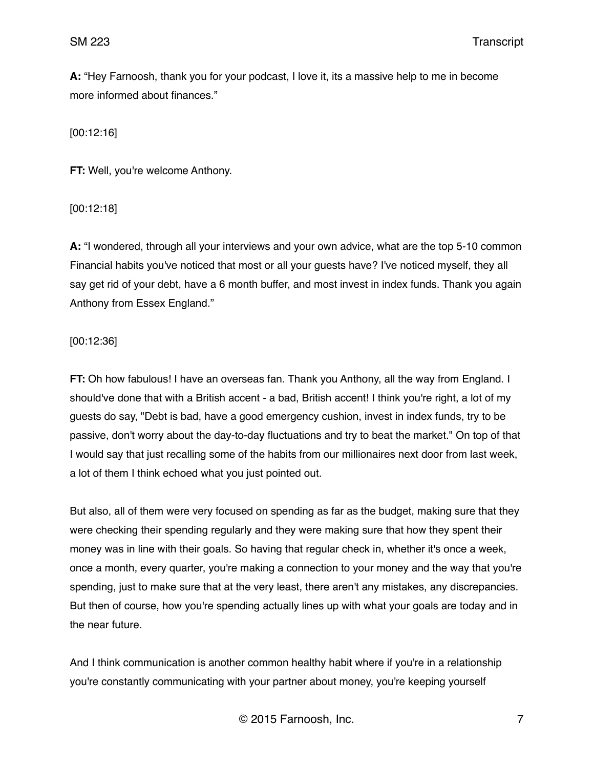**A:** "Hey Farnoosh, thank you for your podcast, I love it, its a massive help to me in become more informed about finances."

[00:12:16]

**FT:** Well, you're welcome Anthony.

[00:12:18]

**A:** "I wondered, through all your interviews and your own advice, what are the top 5-10 common Financial habits you've noticed that most or all your guests have? I've noticed myself, they all say get rid of your debt, have a 6 month buffer, and most invest in index funds. Thank you again Anthony from Essex England."

[00:12:36]

**FT:** Oh how fabulous! I have an overseas fan. Thank you Anthony, all the way from England. I should've done that with a British accent - a bad, British accent! I think you're right, a lot of my guests do say, "Debt is bad, have a good emergency cushion, invest in index funds, try to be passive, don't worry about the day-to-day fluctuations and try to beat the market." On top of that I would say that just recalling some of the habits from our millionaires next door from last week, a lot of them I think echoed what you just pointed out.

But also, all of them were very focused on spending as far as the budget, making sure that they were checking their spending regularly and they were making sure that how they spent their money was in line with their goals. So having that regular check in, whether it's once a week, once a month, every quarter, you're making a connection to your money and the way that you're spending, just to make sure that at the very least, there aren't any mistakes, any discrepancies. But then of course, how you're spending actually lines up with what your goals are today and in the near future.

And I think communication is another common healthy habit where if you're in a relationship you're constantly communicating with your partner about money, you're keeping yourself

© 2015 Farnoosh, Inc. 7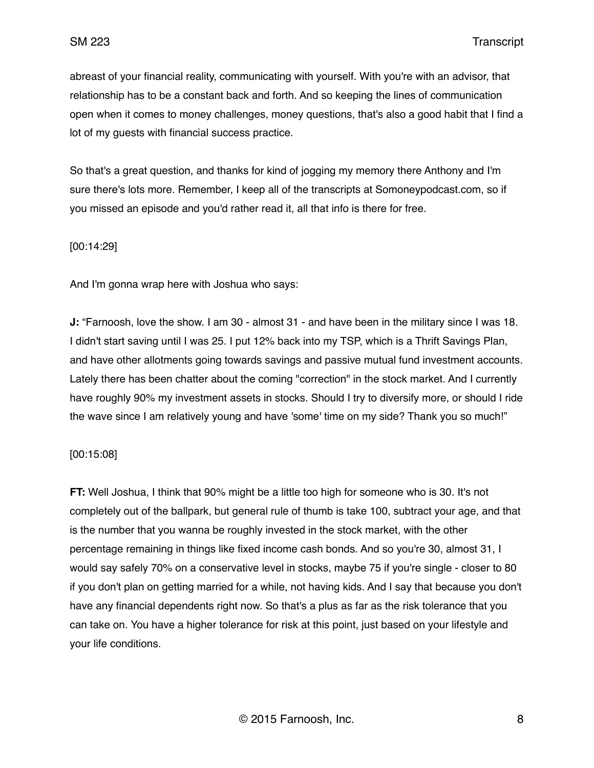abreast of your financial reality, communicating with yourself. With you're with an advisor, that relationship has to be a constant back and forth. And so keeping the lines of communication open when it comes to money challenges, money questions, that's also a good habit that I find a lot of my guests with financial success practice.

So that's a great question, and thanks for kind of jogging my memory there Anthony and I'm sure there's lots more. Remember, I keep all of the transcripts at Somoneypodcast.com, so if you missed an episode and you'd rather read it, all that info is there for free.

[00:14:29]

And I'm gonna wrap here with Joshua who says:

**J:** "Farnoosh, love the show. I am 30 - almost 31 - and have been in the military since I was 18. I didn't start saving until I was 25. I put 12% back into my TSP, which is a Thrift Savings Plan, and have other allotments going towards savings and passive mutual fund investment accounts. Lately there has been chatter about the coming "correction" in the stock market. And I currently have roughly 90% my investment assets in stocks. Should I try to diversify more, or should I ride the wave since I am relatively young and have 'some' time on my side? Thank you so much!"

[00:15:08]

**FT:** Well Joshua, I think that 90% might be a little too high for someone who is 30. It's not completely out of the ballpark, but general rule of thumb is take 100, subtract your age, and that is the number that you wanna be roughly invested in the stock market, with the other percentage remaining in things like fixed income cash bonds. And so you're 30, almost 31, I would say safely 70% on a conservative level in stocks, maybe 75 if you're single - closer to 80 if you don't plan on getting married for a while, not having kids. And I say that because you don't have any financial dependents right now. So that's a plus as far as the risk tolerance that you can take on. You have a higher tolerance for risk at this point, just based on your lifestyle and your life conditions.